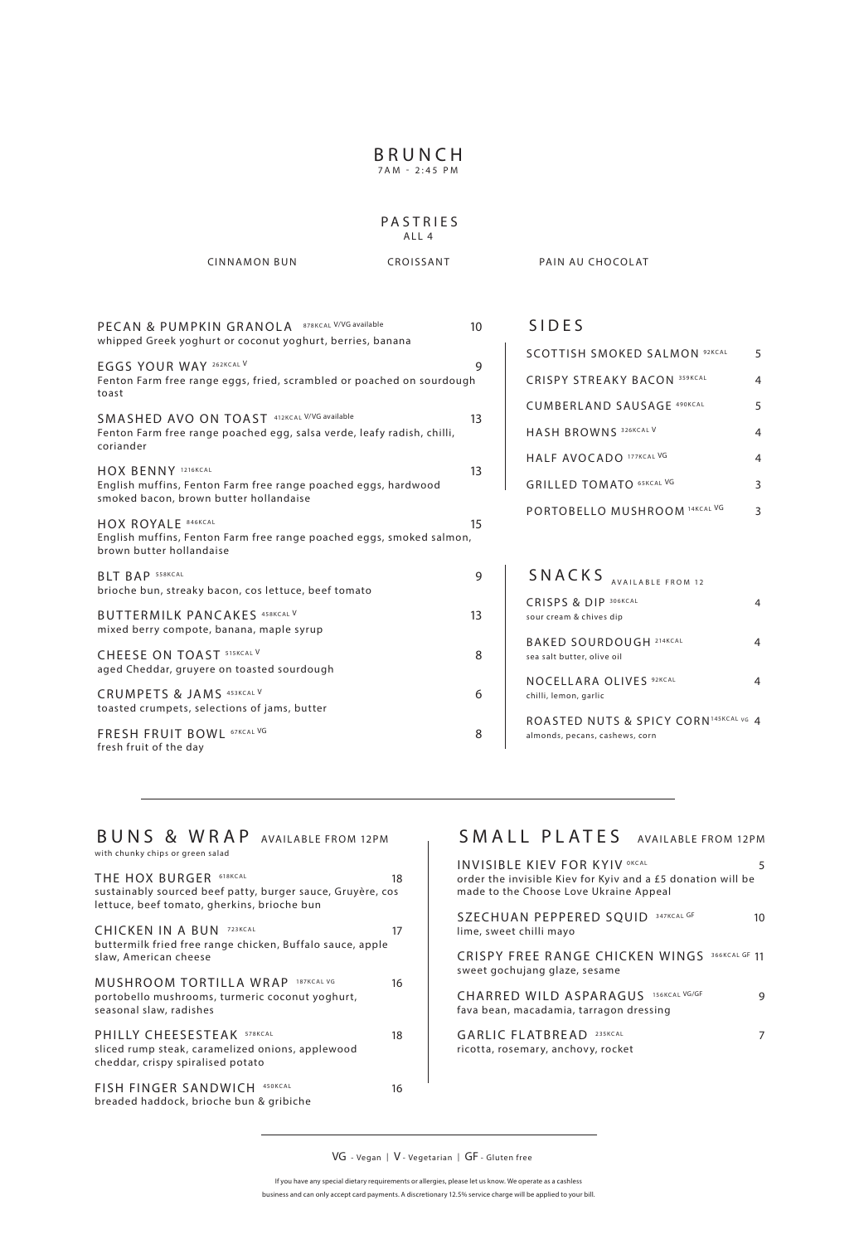## **BRUNCH**

7AM - 2:45 PM

### PASTRIES ALL 4

CINNAMON BUN CROISSANT PAIN AU CHOCOLAT

| PECAN & PUMPKIN GRANOLA 878KCAL V/VG available<br>whipped Greek yoghurt or coconut yoghurt, berries, banana                        | 10 |
|------------------------------------------------------------------------------------------------------------------------------------|----|
| EGGS YOUR WAY 262KCAL V<br>Fenton Farm free range eggs, fried, scrambled or poached on sourdough<br>toast                          | 9  |
| SMASHED AVO ON TOAST 412KCAL V/VG available<br>Fenton Farm free range poached egg, salsa verde, leafy radish, chilli,<br>coriander | 13 |
| HOX BENNY 1216KCAL<br>English muffins, Fenton Farm free range poached eggs, hardwood<br>smoked bacon, brown butter hollandaise     | 13 |
| <b>HOX ROYALE 846KCAL</b><br>English muffins, Fenton Farm free range poached eggs, smoked salmon,<br>brown butter hollandaise      | 15 |
| <b>BLT BAP 558KCAL</b><br>brioche bun, streaky bacon, cos lettuce, beef tomato                                                     | 9  |
| <b>BUTTERMILK PANCAKES 458KCAL V</b><br>mixed berry compote, banana, maple syrup                                                   | 13 |
| CHEESE ON TOAST 515KCAL V<br>aged Cheddar, gruyere on toasted sourdough                                                            | 8  |
| CRUMPETS & JAMS 453KCAL V<br>toasted crumpets, selections of jams, butter                                                          | 6  |
| FRESH FRUIT BOWL 67KCAL VG<br>fresh fruit of the day                                                                               | 8  |
|                                                                                                                                    |    |

## SIDES

| <b>SCOTTISH SMOKED SAI MON 92KCAL</b> | 5 |
|---------------------------------------|---|
| <b>CRISPY STREAKY BACON 359KCAL</b>   | 4 |
| CUMBERIAND SAUSAGE 490KCAL            | 5 |
| HASH BROWNS 326KCAL V                 |   |
| HALF AVOCADO 177KCAL VG               |   |
| <b>GRILLED TOMATO 65KCAL VG</b>       | З |
| PORTOBELLO MUSHROOM 14KCAL VG         |   |

| SNACKS<br>AVAILABLE FROM 12                                            |  |
|------------------------------------------------------------------------|--|
| CRISPS & DIP 306KCAL<br>sour cream & chives dip                        |  |
| <b>BAKED SOURDOUGH 214KCAL</b><br>sea salt butter, olive oil           |  |
| <b>NOCELLARA OLIVES 92KCAL</b><br>chilli, lemon, garlic                |  |
| ROASTED NUTS & SPICY CORN145KCALVG 4<br>almonds, pecans, cashews, corn |  |

#### BUNS & WRAP AVAILABLE FROM 12PM with chunky chips or green salad

| THE HOX BURGER 618KCAL<br>sustainably sourced beef patty, burger sauce, Gruyère, cos<br>lettuce, beef tomato, gherkins, brioche bun | 18 |
|-------------------------------------------------------------------------------------------------------------------------------------|----|
| CHICKEN IN A BUN<br>723KCAL<br>buttermilk fried free range chicken, Buffalo sauce, apple<br>slaw, American cheese                   | 17 |
| MUSHROOM TORTILLA WRAP<br>187KCAL VG<br>portobello mushrooms, turmeric coconut yoghurt,<br>seasonal slaw, radishes                  | 16 |
| PHILLY CHEESESTEAK 578KCAL<br>sliced rump steak, caramelized onions, applewood<br>cheddar, crispy spiralised potato                 | 18 |
| <b>FISH FINGER SANDWICH</b><br>450KCAL<br>breaded haddock, brioche bun & gribiche                                                   | 16 |

# SMALL PLATES AVAILABLE FROM 12PM

| 5<br>order the invisible Kiev for Kyiv and a £5 donation will be |
|------------------------------------------------------------------|
| 10                                                               |
| 366KCAL GF 11                                                    |
| 9                                                                |
|                                                                  |
|                                                                  |

VG - Vegan | V - Vegetarian | GF - Gluten free

If you have any special dietary requirements or allergies, please let us know. We operate as a cashless business and can only accept card payments. A discretionary 12.5% service charge will be applied to your bill.